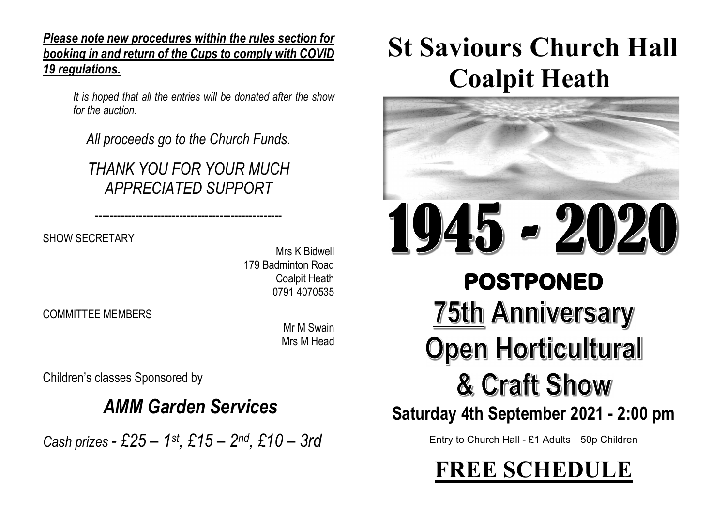Please note new procedures within the rules section for booking in and return of the Cups to comply with COVID 19 regulations.

> It is hoped that all the entries will be donated after the show for the auction.

---------------------------------------------------

All proceeds go to the Church Funds.

THANK YOU FOR YOUR MUCH APPRECIATED SUPPORT

SHOW SECRETARY

Mrs K Bidwell 179 Badminton Road Coalpit Heath 0791 4070535

COMMITTEE MEMBERS

Mr M Swain Mrs M Head

Children's classes Sponsored by

### AMM Garden Services

Cash prizes - £25 – 1st, £15 – 2nd, £10 – 3rd

# St Saviours Church Hall Coalpit Heath



# 45 - 2020 10 **POSTPONED 75th Anniversary Open Horticultural** & Craft Show

### Saturday 4th September 2021 - 2:00 pm

Entry to Church Hall - £1 Adults 50p Children

FREE SCHEDULE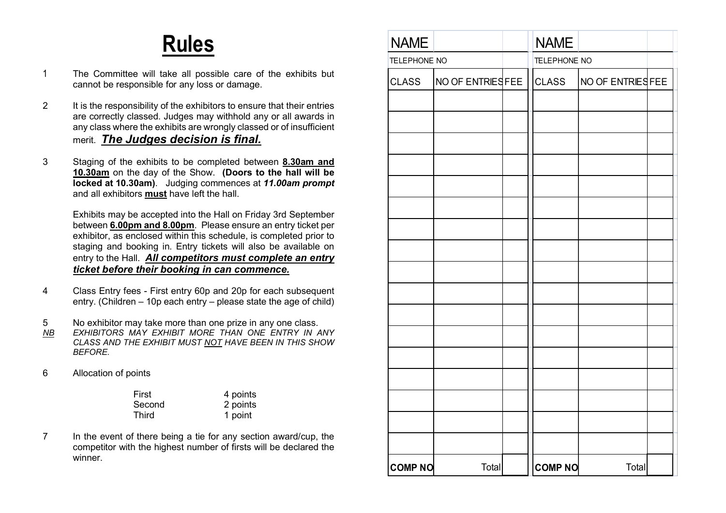## Rules

- 1 The Committee will take all possible care of the exhibits but cannot be responsible for any loss or damage.
- 2 It is the responsibility of the exhibitors to ensure that their entries are correctly classed. Judges may withhold any or all awards in any class where the exhibits are wrongly classed or of insufficient merit. The Judges decision is final.
- 3 Staging of the exhibits to be completed between 8.30am and 10.30am on the day of the Show. (Doors to the hall will be locked at 10.30am). Judging commences at 11.00am prompt and all exhibitors must have left the hall.

Exhibits may be accepted into the Hall on Friday 3rd September between 6.00pm and 8.00pm. Please ensure an entry ticket per exhibitor, as enclosed within this schedule, is completed prior to staging and booking in. Entry tickets will also be available on entry to the Hall. All competitors must complete an entry ticket before their booking in can commence.

4 Class Entry fees - First entry 60p and 20p for each subsequent entry. (Children – 10p each entry – please state the age of child)

5 No exhibitor may take more than one prize in any one class.

- NB EXHIBITORS MAY EXHIBIT MORE THAN ONE ENTRY IN ANY CLASS AND THE EXHIBIT MUST NOT HAVE BEEN IN THIS SHOW BEFORE.
- 6 Allocation of points

| First  | 4 points |
|--------|----------|
| Second | 2 points |
| Third  | 1 point  |

7 In the event of there being a tie for any section award/cup, the competitor with the highest number of firsts will be declared the winner.

| <b>NAME</b>    |                   |  | <b>NAME</b>    |                   |  |
|----------------|-------------------|--|----------------|-------------------|--|
| TELEPHONE NO   |                   |  | TELEPHONE NO   |                   |  |
| <b>CLASS</b>   | NO OF ENTRIES FEE |  | <b>CLASS</b>   | NO OF ENTRIES FEE |  |
|                |                   |  |                |                   |  |
|                |                   |  |                |                   |  |
|                |                   |  |                |                   |  |
|                |                   |  |                |                   |  |
|                |                   |  |                |                   |  |
|                |                   |  |                |                   |  |
|                |                   |  |                |                   |  |
|                |                   |  |                |                   |  |
|                |                   |  |                |                   |  |
|                |                   |  |                |                   |  |
|                |                   |  |                |                   |  |
|                |                   |  |                |                   |  |
|                |                   |  |                |                   |  |
|                |                   |  |                |                   |  |
|                |                   |  |                |                   |  |
|                |                   |  |                |                   |  |
|                |                   |  |                |                   |  |
|                |                   |  |                |                   |  |
|                |                   |  |                |                   |  |
| <b>COMP NO</b> | Total             |  | <b>COMP NO</b> | Total             |  |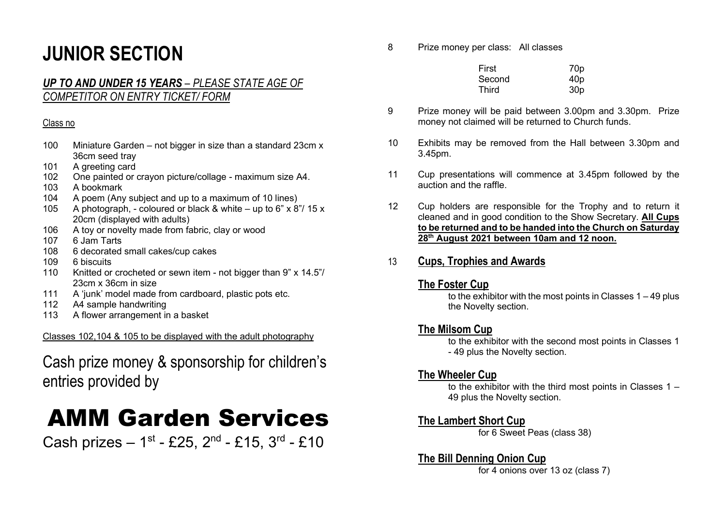### JUNIOR SECTION

### UP TO AND UNDER 15 YEARS – PLEASE STATE AGE OF COMPETITOR ON ENTRY TICKET/ FORM

#### Class no

- 100 Miniature Garden not bigger in size than a standard 23cm x 36cm seed tray
- 101 A greeting card
- 102 One painted or crayon picture/collage maximum size A4.
- 103 A bookmark
- 104 A poem (Any subject and up to a maximum of 10 lines)
- 105 A photograph, coloured or black & white up to 6" x 8"/ 15 x 20cm (displayed with adults)
- 106 A toy or novelty made from fabric, clay or wood
- 107 6 Jam Tarts
- 108 6 decorated small cakes/cup cakes
- 109 6 biscuits
- 110 Knitted or crocheted or sewn item not bigger than 9" x 14.5"/ 23cm x 36cm in size
- 111 A 'junk' model made from cardboard, plastic pots etc.
- 112 A4 sample handwriting
- 113 A flower arrangement in a basket

Classes 102,104 & 105 to be displayed with the adult photography

### Cash prize money & sponsorship for children's entries provided by

## AMM Garden Services

Cash prizes –  $1^{st}$  - £25,  $2^{nd}$  - £15,  $3^{rd}$  - £10

8 Prize money per class: All classes

| First        | 70 <sub>p</sub> |
|--------------|-----------------|
| Second       | 40 <sub>p</sub> |
| <b>Third</b> | 30 <sub>p</sub> |

- 9 Prize money will be paid between 3.00pm and 3.30pm. Prize money not claimed will be returned to Church funds.
- 10 Exhibits may be removed from the Hall between 3.30pm and 3.45pm.
- 11 Cup presentations will commence at 3.45pm followed by the auction and the raffle.
- 12 Cup holders are responsible for the Trophy and to return it cleaned and in good condition to the Show Secretary. All Cups to be returned and to be handed into the Church on Saturday 28<sup>th</sup> August 2021 between 10am and 12 noon.

### 13 Cups, Trophies and Awards

### The Foster Cup

to the exhibitor with the most points in Classes  $1 - 49$  plus the Novelty section.

### The Milsom Cup

to the exhibitor with the second most points in Classes 1 - 49 plus the Novelty section.

### The Wheeler Cup

to the exhibitor with the third most points in Classes 1 – 49 plus the Novelty section.

### The Lambert Short Cup

for 6 Sweet Peas (class 38)

### The Bill Denning Onion Cup

for 4 onions over 13 oz (class 7)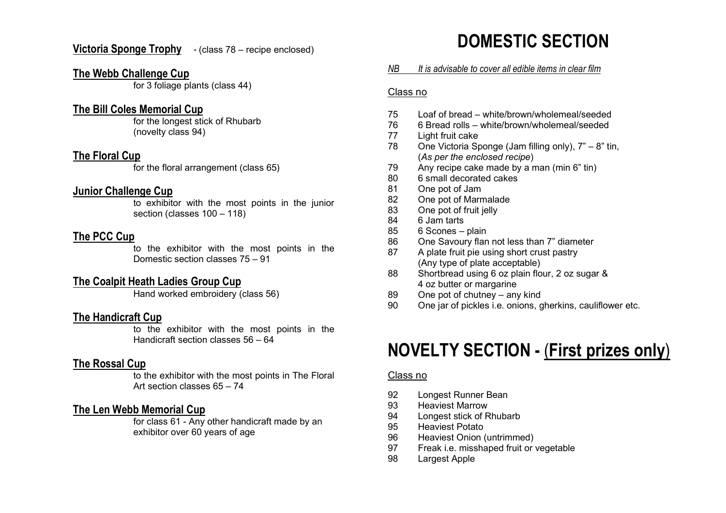Victoria Sponge Trophy - (class 78 – recipe enclosed)

### The Webb Challenge Cup

for 3 foliage plants (class 44)

### The Bill Coles Memorial Cup

for the longest stick of Rhubarb (novelty class 94)

### The Floral Cup

for the floral arrangement (class 65)

#### Junior Challenge Cup

to exhibitor with the most points in the junior section (classes 100 – 118)

### The PCC Cup

to the exhibitor with the most points in the Domestic section classes 75 – 91

### The Coalpit Heath Ladies Group Cup

Hand worked embroidery (class 56)

### The Handicraft Cup

to the exhibitor with the most points in the Handicraft section classes 56 – 64

### The Rossal Cup

to the exhibitor with the most points in The Floral Art section classes 65 – 74

### The Len Webb Memorial Cup

for class 61 - Any other handicraft made by an exhibitor over 60 years of age

### DOMESTIC SECTION

#### NB It is advisable to cover all edible items in clear film

#### Class no

- 75 Loaf of bread white/brown/wholemeal/seeded
- 76 6 Bread rolls white/brown/wholemeal/seeded
- 77 Light fruit cake
- 78 One Victoria Sponge (Jam filling only), 7" 8" tin, (As per the enclosed recipe)
- 79 Any recipe cake made by a man (min 6" tin)
- 80 6 small decorated cakes
- 81 One pot of Jam
- 82 One pot of Marmalade
- 83 One pot of fruit jelly
- 84 6 Jam tarts
- 85 6 Scones plain
- 86 One Savoury flan not less than 7" diameter
- 87 A plate fruit pie using short crust pastry (Any type of plate acceptable)
- 88 Shortbread using 6 oz plain flour, 2 oz sugar & 4 oz butter or margarine
- 89 One pot of chutney any kind
- 90 One jar of pickles i.e. onions, gherkins, cauliflower etc.

### NOVELTY SECTION - (First prizes only)

#### Class no

- 92 Longest Runner Bean
- 93 Heaviest Marrow
- 94 Longest stick of Rhubarb
- 95 Heaviest Potato
- 96 Heaviest Onion (untrimmed)
- 97 Freak i.e. misshaped fruit or vegetable
- 98 Largest Apple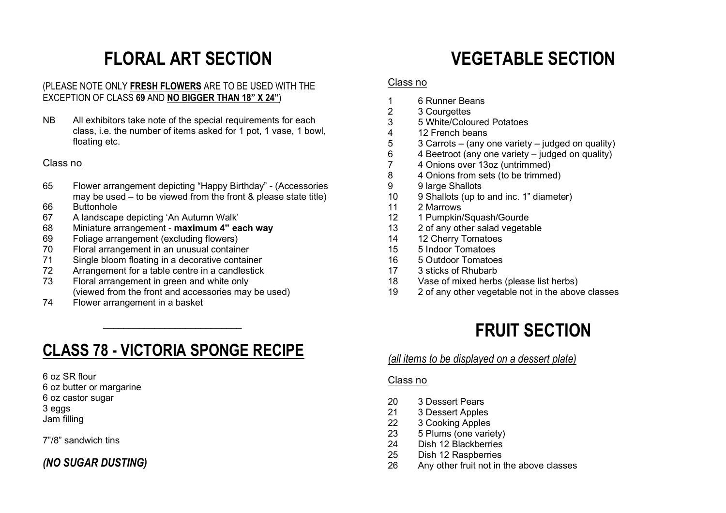### FLORAL ART SECTION

### (PLEASE NOTE ONLY FRESH FLOWERS ARE TO BE USED WITH THE EXCEPTION OF CLASS 69 AND NO BIGGER THAN 18" X 24")

NB All exhibitors take note of the special requirements for each class, i.e. the number of items asked for 1 pot, 1 vase, 1 bowl, floating etc.

#### Class no

- 65 Flower arrangement depicting "Happy Birthday" (Accessories may be used – to be viewed from the front & please state title)
- 66 Buttonhole
- 67 A landscape depicting 'An Autumn Walk'
- 68 Miniature arrangement maximum 4" each way
- 69 Foliage arrangement (excluding flowers)
- 70 Floral arrangement in an unusual container

 $\frac{1}{2}$  , and the set of the set of the set of the set of the set of the set of the set of the set of the set of the set of the set of the set of the set of the set of the set of the set of the set of the set of the set

- 71 Single bloom floating in a decorative container
- 72 Arrangement for a table centre in a candlestick
- 73 Floral arrangement in green and white only (viewed from the front and accessories may be used)
- 74 Flower arrangement in a basket

### CLASS 78 - VICTORIA SPONGE RECIPE

6 oz SR flour 6 oz butter or margarine 6 oz castor sugar 3 eggs Jam filling

7"/8" sandwich tins

### (NO SUGAR DUSTING)

### VEGETABLE SECTION

#### Class no

- 1 6 Runner Beans
- 2 3 Courgettes<br>3 5 White/Color
- 3 5 White/Coloured Potatoes
- 4 12 French beans<br>5 3 Carrots (any of
- 5 3 Carrots (any one variety judged on quality)
- 6 4 Beetroot (any one variety judged on quality)
- 7 4 Onions over 13oz (untrimmed)<br>8 4 Onions from sets (to be trimmed)
- 4 Onions from sets (to be trimmed)
- 9 9 large Shallots
- 10 9 Shallots (up to and inc. 1" diameter)
- 11 2 Marrows
- 12 1 Pumpkin/Squash/Gourde
- 13 2 of any other salad vegetable
- 14 12 Cherry Tomatoes
- 15 5 Indoor Tomatoes
- 16 5 Outdoor Tomatoes
- 17 3 sticks of Rhubarb
- 18 Vase of mixed herbs (please list herbs)
- 19 2 of any other vegetable not in the above classes

### FRUIT SECTION

### (all items to be displayed on a dessert plate)

### Class no

- 20 3 Dessert Pears
- 21 3 Dessert Apples
- 22 3 Cooking Apples
- 23 5 Plums (one variety)
- 24 Dish 12 Blackberries
- 25 Dish 12 Raspberries
- 26 Any other fruit not in the above classes